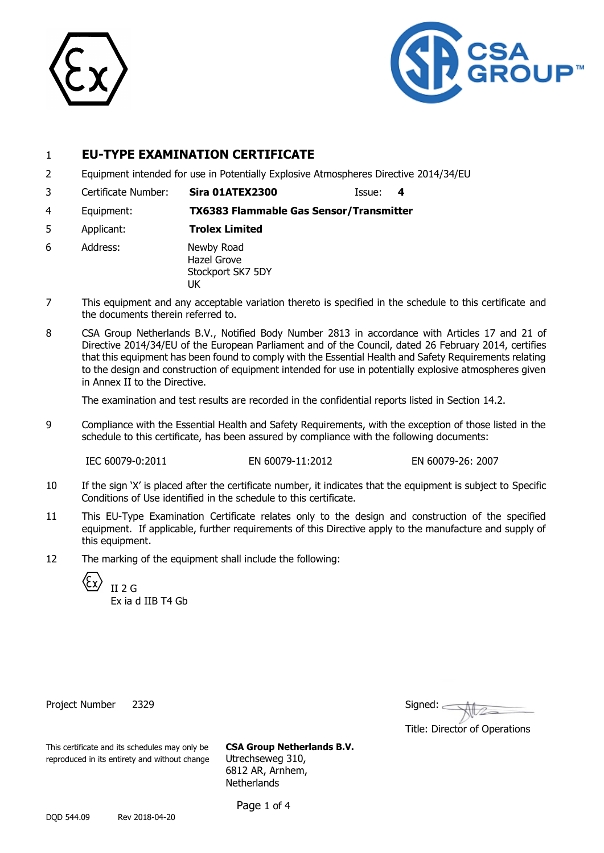



# 1 **EU-TYPE EXAMINATION CERTIFICATE**

- 2 Equipment intended for use in Potentially Explosive Atmospheres Directive 2014/34/EU
- 3 Certificate Number: **Sira 01ATEX2300** Issue: **4**
- 4 Equipment: **TX6383 Flammable Gas Sensor/Transmitter**
- 5 Applicant: **Trolex Limited**
- 6 Address: Newby Road Hazel Grove Stockport SK7 5DY UK
- 7 This equipment and any acceptable variation thereto is specified in the schedule to this certificate and the documents therein referred to.
- 8 CSA Group Netherlands B.V., Notified Body Number 2813 in accordance with Articles 17 and 21 of Directive 2014/34/EU of the European Parliament and of the Council, dated 26 February 2014, certifies that this equipment has been found to comply with the Essential Health and Safety Requirements relating to the design and construction of equipment intended for use in potentially explosive atmospheres given in Annex II to the Directive.

The examination and test results are recorded in the confidential reports listed in Section 14.2.

9 Compliance with the Essential Health and Safety Requirements, with the exception of those listed in the schedule to this certificate, has been assured by compliance with the following documents:

IEC 60079-0:2011 EN 60079-11:2012 EN 60079-26: 2007

- 10 If the sign 'X' is placed after the certificate number, it indicates that the equipment is subject to Specific Conditions of Use identified in the schedule to this certificate.
- 11 This EU-Type Examination Certificate relates only to the design and construction of the specified equipment. If applicable, further requirements of this Directive apply to the manufacture and supply of this equipment.
- 12 The marking of the equipment shall include the following:

(Fx  $II$  2 G

Ex ia d IIB T4 Gb

Project Number 2329

| Signed: |  |  |
|---------|--|--|
|         |  |  |

Title: Director of Operations

This certificate and its schedules may only be **CSA Group Netherlands B.V.** reproduced in its entirety and without change Utrechseweg 310,

6812 AR, Arnhem, **Netherlands** 

Page 1 of 4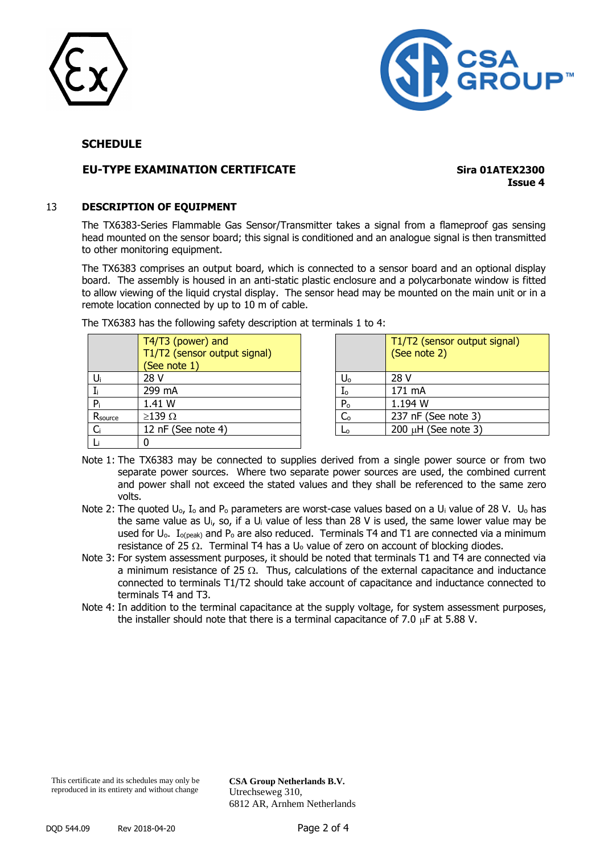



## **SCHEDULE**

# **EU-TYPE EXAMINATION CERTIFICATE Sira 01ATEX2300**

**Issue 4**

#### 13 **DESCRIPTION OF EQUIPMENT**

The TX6383-Series Flammable Gas Sensor/Transmitter takes a signal from a flameproof gas sensing head mounted on the sensor board; this signal is conditioned and an analogue signal is then transmitted to other monitoring equipment.

The TX6383 comprises an output board, which is connected to a sensor board and an optional display board. The assembly is housed in an anti-static plastic enclosure and a polycarbonate window is fitted to allow viewing of the liquid crystal display. The sensor head may be mounted on the main unit or in a remote location connected by up to 10 m of cable.

|         | T4/T3 (power) and<br>T1/T2 (sensor output signal)<br>(See note 1) |                | T1/T2 (sensor outpu<br>(See note 2) |
|---------|-------------------------------------------------------------------|----------------|-------------------------------------|
|         | 28 V                                                              | Uο             | 28 V                                |
|         | 299 mA                                                            | I <sub>o</sub> | 171 mA                              |
| P,      | 1.41 W                                                            | P <sub>o</sub> | 1.194 W                             |
| Rsource | $\geq$ 139 $\Omega$                                               | C <sub>o</sub> | 237 nF (See note 3)                 |
| Ci      | 12 nF (See note 4)                                                | Lo             | 200 $\mu$ H (See note 3)            |
|         |                                                                   |                |                                     |

The TX6383 has the following safety description at terminals 1 to 4:

|                | T1/T2 (sensor output signal)<br>(See note 2) |
|----------------|----------------------------------------------|
| $U_{o}$        | 28 V                                         |
| I <sub>o</sub> | 171 mA                                       |
| P <sub>o</sub> | 1.194 W                                      |
| C <sub>o</sub> | 237 nF (See note 3)                          |
|                | 200 $\mu$ H (See note 3)                     |

- Note 1: The TX6383 may be connected to supplies derived from a single power source or from two separate power sources. Where two separate power sources are used, the combined current and power shall not exceed the stated values and they shall be referenced to the same zero volts.
- Note 2: The quoted U<sub>o</sub>, I<sub>o</sub> and P<sub>o</sub> parameters are worst-case values based on a U<sub>i</sub> value of 28 V. U<sub>o</sub> has the same value as Ui, so, if a U<sup>i</sup> value of less than 28 V is used, the same lower value may be used for  $U_0$ .  $I_{o(peak)}$  and  $P_0$  are also reduced. Terminals T4 and T1 are connected via a minimum resistance of 25  $\Omega$ . Terminal T4 has a U<sub>o</sub> value of zero on account of blocking diodes.
- Note 3: For system assessment purposes, it should be noted that terminals T1 and T4 are connected via a minimum resistance of 25  $\Omega$ . Thus, calculations of the external capacitance and inductance connected to terminals T1/T2 should take account of capacitance and inductance connected to terminals T4 and T3.
- Note 4: In addition to the terminal capacitance at the supply voltage, for system assessment purposes, the installer should note that there is a terminal capacitance of 7.0  $\mu$ F at 5.88 V.

**CSA Group Netherlands B.V.** Utrechseweg 310, 6812 AR, Arnhem Netherlands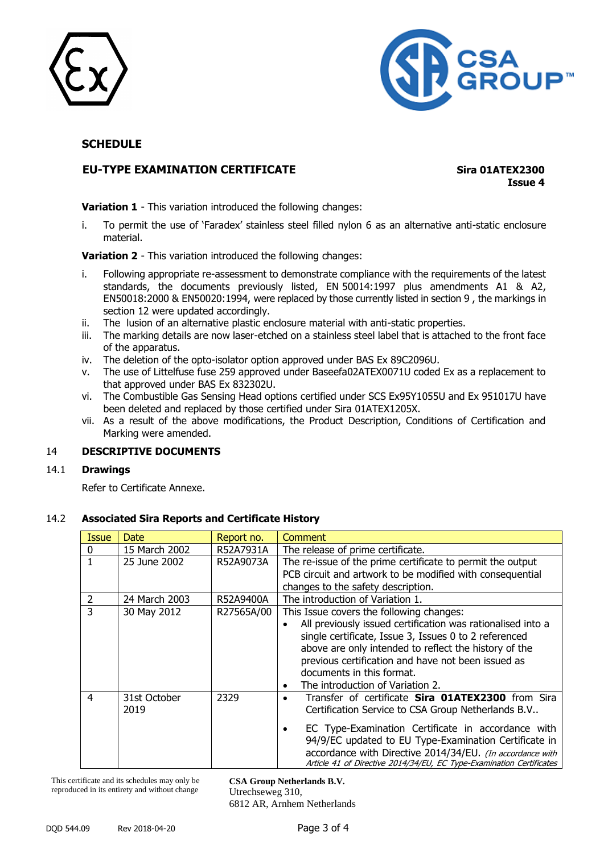



# **SCHEDULE**

# **EU-TYPE EXAMINATION CERTIFICATE Sira 01ATEX2300**

**Issue 4**

**Variation 1** - This variation introduced the following changes:

i. To permit the use of 'Faradex' stainless steel filled nylon 6 as an alternative anti-static enclosure material.

**Variation 2** - This variation introduced the following changes:

- i. Following appropriate re-assessment to demonstrate compliance with the requirements of the latest standards, the documents previously listed, EN 50014:1997 plus amendments A1 & A2, EN50018:2000 & EN50020:1994, were replaced by those currently listed in section 9 , the markings in section 12 were updated accordingly.
- ii. The lusion of an alternative plastic enclosure material with anti-static properties.
- iii. The marking details are now laser-etched on a stainless steel label that is attached to the front face of the apparatus.
- iv. The deletion of the opto-isolator option approved under BAS Ex 89C2096U.
- v. The use of Littelfuse fuse 259 approved under Baseefa02ATEX0071U coded Ex as a replacement to that approved under BAS Ex 832302U.
- vi. The Combustible Gas Sensing Head options certified under SCS Ex95Y1055U and Ex 951017U have been deleted and replaced by those certified under Sira 01ATEX1205X.
- vii. As a result of the above modifications, the Product Description, Conditions of Certification and Marking were amended.

#### 14 **DESCRIPTIVE DOCUMENTS**

#### 14.1 **Drawings**

Refer to Certificate Annexe.

#### 14.2 **Associated Sira Reports and Certificate History**

| <b>Issue</b> | <b>Date</b>          | Report no. | <b>Comment</b>                                                                                                                                                                                                                                                                                                                                              |
|--------------|----------------------|------------|-------------------------------------------------------------------------------------------------------------------------------------------------------------------------------------------------------------------------------------------------------------------------------------------------------------------------------------------------------------|
| 0            | 15 March 2002        | R52A7931A  | The release of prime certificate.                                                                                                                                                                                                                                                                                                                           |
|              | 25 June 2002         | R52A9073A  | The re-issue of the prime certificate to permit the output<br>PCB circuit and artwork to be modified with consequential<br>changes to the safety description.                                                                                                                                                                                               |
| 2            | 24 March 2003        | R52A9400A  | The introduction of Variation 1.                                                                                                                                                                                                                                                                                                                            |
| 3            | 30 May 2012          | R27565A/00 | This Issue covers the following changes:<br>All previously issued certification was rationalised into a<br>single certificate, Issue 3, Issues 0 to 2 referenced<br>above are only intended to reflect the history of the<br>previous certification and have not been issued as<br>documents in this format.<br>The introduction of Variation 2.            |
| 4            | 31st October<br>2019 | 2329       | Transfer of certificate Sira 01ATEX2300 from Sira<br>Certification Service to CSA Group Netherlands B.V<br>EC Type-Examination Certificate in accordance with<br>94/9/EC updated to EU Type-Examination Certificate in<br>accordance with Directive 2014/34/EU. (In accordance with<br>Article 41 of Directive 2014/34/EU, EC Type-Examination Certificates |

This certificate and its schedules may only be reproduced in its entirety and without change

**CSA Group Netherlands B.V.** Utrechseweg 310, 6812 AR, Arnhem Netherlands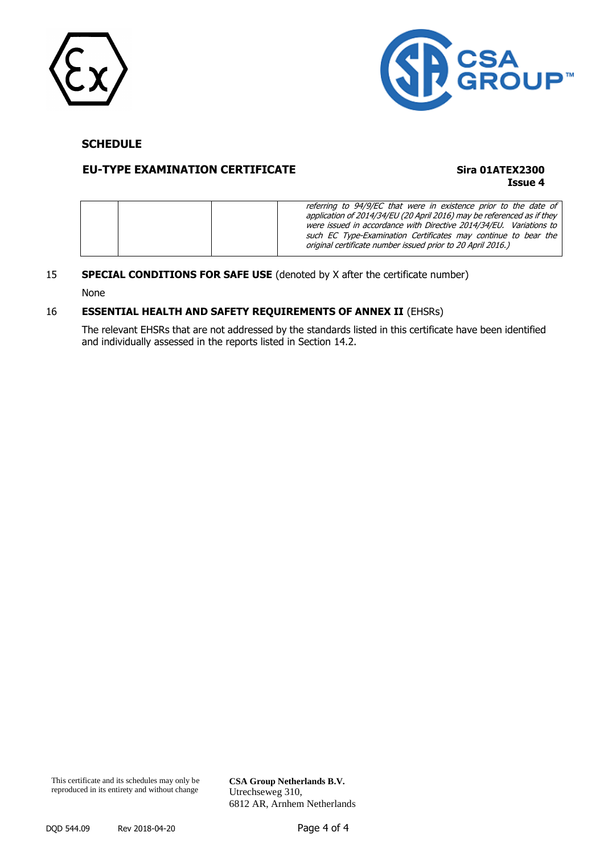



# **SCHEDULE**

# **EU-TYPE EXAMINATION CERTIFICATE Sira 01ATEX2300**

**Issue 4**

|  | referring to 94/9/EC that were in existence prior to the date of<br>application of 2014/34/EU (20 April 2016) may be referenced as if they<br>were issued in accordance with Directive 2014/34/EU. Variations to<br>such EC Type-Examination Certificates may continue to bear the<br>original certificate number issued prior to 20 April 2016.) |
|--|---------------------------------------------------------------------------------------------------------------------------------------------------------------------------------------------------------------------------------------------------------------------------------------------------------------------------------------------------|
|--|---------------------------------------------------------------------------------------------------------------------------------------------------------------------------------------------------------------------------------------------------------------------------------------------------------------------------------------------------|

#### 15 **SPECIAL CONDITIONS FOR SAFE USE** (denoted by X after the certificate number)

None

## 16 **ESSENTIAL HEALTH AND SAFETY REQUIREMENTS OF ANNEX II** (EHSRs)

The relevant EHSRs that are not addressed by the standards listed in this certificate have been identified and individually assessed in the reports listed in Section 14.2.